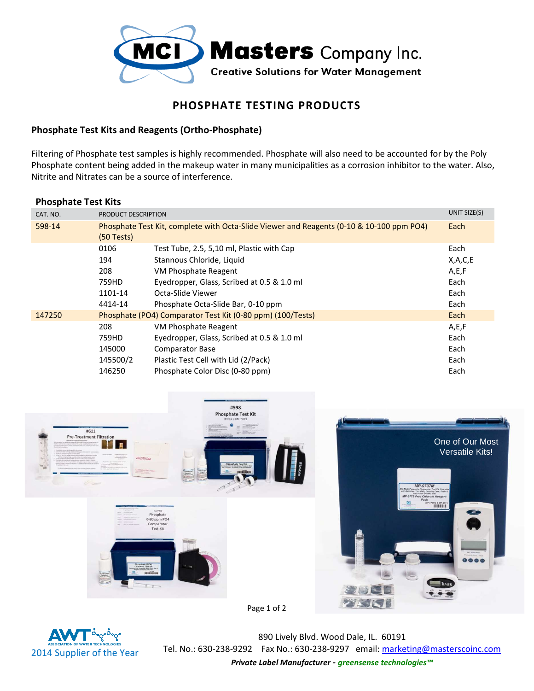

## **PHOSPHATE TESTING PRODUCTS**

## **Phosphate Test Kits and Reagents (Ortho-Phosphate)**

Filtering of Phosphate test samples is highly recommended. Phosphate will also need to be accounted for by the Poly Phosphate content being added in the makeup water in many municipalities as a corrosion inhibitor to the water. Also, Nitrite and Nitrates can be a source of interference.

## **Phosphate Test Kits**

| CAT. NO. | PRODUCT DESCRIPTION                                        |                                                                                          | UNIT SIZE(S) |
|----------|------------------------------------------------------------|------------------------------------------------------------------------------------------|--------------|
| 598-14   | $(50$ Tests)                                               | Phosphate Test Kit, complete with Octa-Slide Viewer and Reagents (0-10 & 10-100 ppm PO4) | Each         |
|          | 0106                                                       | Test Tube, 2.5, 5,10 ml, Plastic with Cap                                                | Each         |
|          | 194                                                        | Stannous Chloride, Liquid                                                                | X,A,C,E      |
|          | 208                                                        | VM Phosphate Reagent                                                                     | A,E,F        |
|          | 759HD                                                      | Eyedropper, Glass, Scribed at 0.5 & 1.0 ml                                               | Each         |
|          | 1101-14                                                    | Octa-Slide Viewer                                                                        | Each         |
|          | 4414-14                                                    | Phosphate Octa-Slide Bar, 0-10 ppm                                                       | Each         |
| 147250   | Phosphate (PO4) Comparator Test Kit (0-80 ppm) (100/Tests) |                                                                                          | Each         |
|          | 208                                                        | VM Phosphate Reagent                                                                     | A,E,F        |
|          | 759HD                                                      | Eyedropper, Glass, Scribed at 0.5 & 1.0 ml                                               | Each         |
|          | 145000                                                     | <b>Comparator Base</b>                                                                   | Each         |
|          | 145500/2                                                   | Plastic Test Cell with Lid (2/Pack)                                                      | Each         |
|          | 146250                                                     | Phosphate Color Disc (0-80 ppm)                                                          | Each         |



Page 1 of 2



890 Lively Blvd. Wood Dale, IL. 60191 Tel. No.: 630-238-9292 Fax No.: 630-238-9297 email: marketing@masterscoinc.com

*Private Label Manufacturer - greensense technologies™*